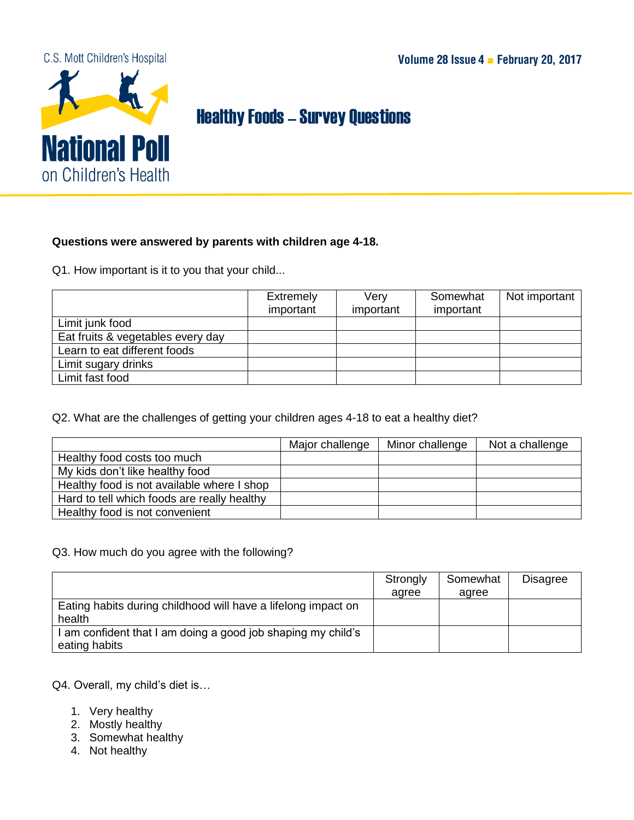## C.S. Mott Children's Hospital



## Healthy Foods–Survey Questions

## **Questions were answered by parents with children age 4-18.**

Q1. How important is it to you that your child...

|                                   | <b>Extremely</b> | Verv      | Somewhat  | Not important |
|-----------------------------------|------------------|-----------|-----------|---------------|
|                                   | important        | important | important |               |
| Limit junk food                   |                  |           |           |               |
| Eat fruits & vegetables every day |                  |           |           |               |
| Learn to eat different foods      |                  |           |           |               |
| Limit sugary drinks               |                  |           |           |               |
| Limit fast food                   |                  |           |           |               |

Q2. What are the challenges of getting your children ages 4-18 to eat a healthy diet?

|                                             | Major challenge | Minor challenge | Not a challenge |
|---------------------------------------------|-----------------|-----------------|-----------------|
| Healthy food costs too much                 |                 |                 |                 |
| My kids don't like healthy food             |                 |                 |                 |
| Healthy food is not available where I shop  |                 |                 |                 |
| Hard to tell which foods are really healthy |                 |                 |                 |
| Healthy food is not convenient              |                 |                 |                 |

## Q3. How much do you agree with the following?

|                                                                             | Strongly | Somewhat | <b>Disagree</b> |
|-----------------------------------------------------------------------------|----------|----------|-----------------|
|                                                                             | agree    | agree    |                 |
| Eating habits during childhood will have a lifelong impact on<br>health     |          |          |                 |
| am confident that I am doing a good job shaping my child's<br>eating habits |          |          |                 |

Q4. Overall, my child's diet is…

- 1. Very healthy
- 2. Mostly healthy
- 3. Somewhat healthy
- 4. Not healthy